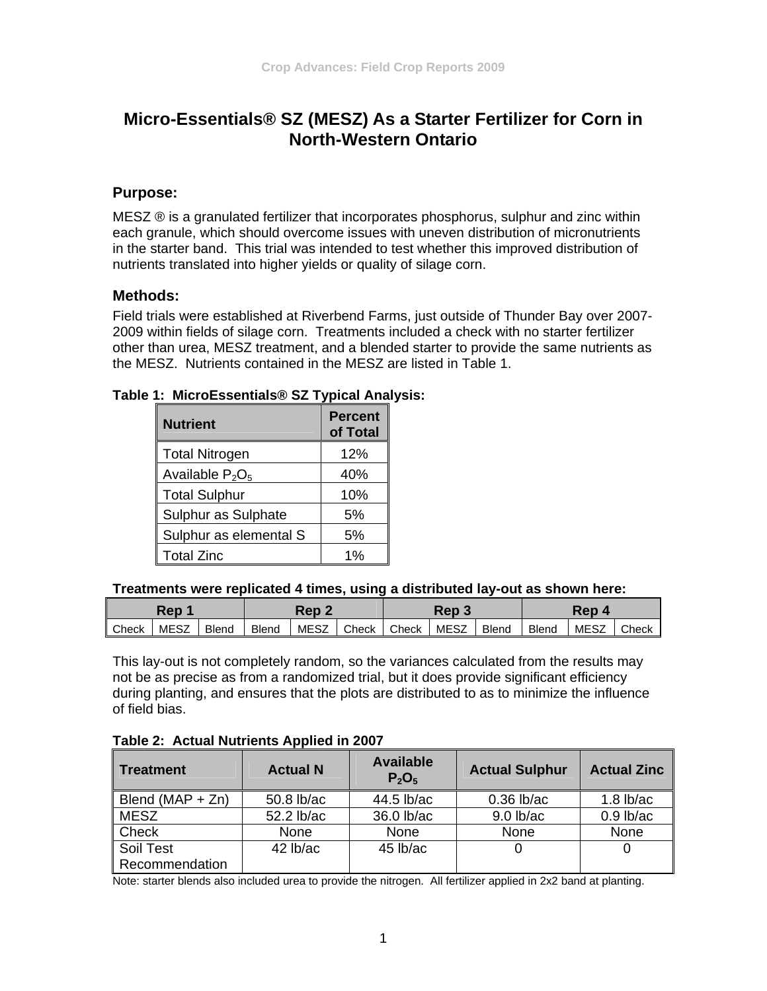# **Micro-Essentials® SZ (MESZ) As a Starter Fertilizer for Corn in North-Western Ontario**

## **Purpose:**

MESZ ® is a granulated fertilizer that incorporates phosphorus, sulphur and zinc within each granule, which should overcome issues with uneven distribution of micronutrients in the starter band. This trial was intended to test whether this improved distribution of nutrients translated into higher yields or quality of silage corn.

#### **Methods:**

Field trials were established at Riverbend Farms, just outside of Thunder Bay over 2007- 2009 within fields of silage corn. Treatments included a check with no starter fertilizer other than urea, MESZ treatment, and a blended starter to provide the same nutrients as the MESZ. Nutrients contained in the MESZ are listed in Table 1.

| <b>Nutrient</b>        | <b>Percent</b><br>of Total |
|------------------------|----------------------------|
| <b>Total Nitrogen</b>  | 12%                        |
| Available $P_2O_5$     | 40%                        |
| <b>Total Sulphur</b>   | 10%                        |
| Sulphur as Sulphate    | 5%                         |
| Sulphur as elemental S | 5%                         |
| <b>Total Zinc</b>      | 1%                         |

#### **Table 1: MicroEssentials® SZ Typical Analysis:**

#### **Treatments were replicated 4 times, using a distributed lay-out as shown here:**

| Rep   |             |              | Rep 2        |      | Rep<br>$\sim$ |       | Rep         |              |              |             |       |
|-------|-------------|--------------|--------------|------|---------------|-------|-------------|--------------|--------------|-------------|-------|
| Check | <b>MESZ</b> | <b>Blend</b> | <b>Blend</b> | MESZ | Check         | Check | <b>MESZ</b> | <b>Blend</b> | <b>Blend</b> | <b>MESZ</b> | Check |

This lay-out is not completely random, so the variances calculated from the results may not be as precise as from a randomized trial, but it does provide significant efficiency during planting, and ensures that the plots are distributed to as to minimize the influence of field bias.

#### **Table 2: Actual Nutrients Applied in 2007**

| <b>Treatment</b>     | <b>Actual N</b> | <b>Available</b><br>$P_2O_5$ | <b>Actual Sulphur</b> | <b>Actual Zinc</b> |
|----------------------|-----------------|------------------------------|-----------------------|--------------------|
| Blend ( $MAP + Zn$ ) | 50.8 lb/ac      | 44.5 lb/ac                   | $0.36$ lb/ac          | $1.8$ lb/ac        |
| <b>MESZ</b>          | 52.2 lb/ac      | 36.0 lb/ac                   | $9.0$ lb/ac           | $0.9$ lb/ac        |
| Check                | None            | None                         | None                  | None               |
| Soil Test            | $42$ lb/ac      | $45$ lb/ac                   |                       |                    |
| Recommendation       |                 |                              |                       |                    |

Note: starter blends also included urea to provide the nitrogen. All fertilizer applied in 2x2 band at planting.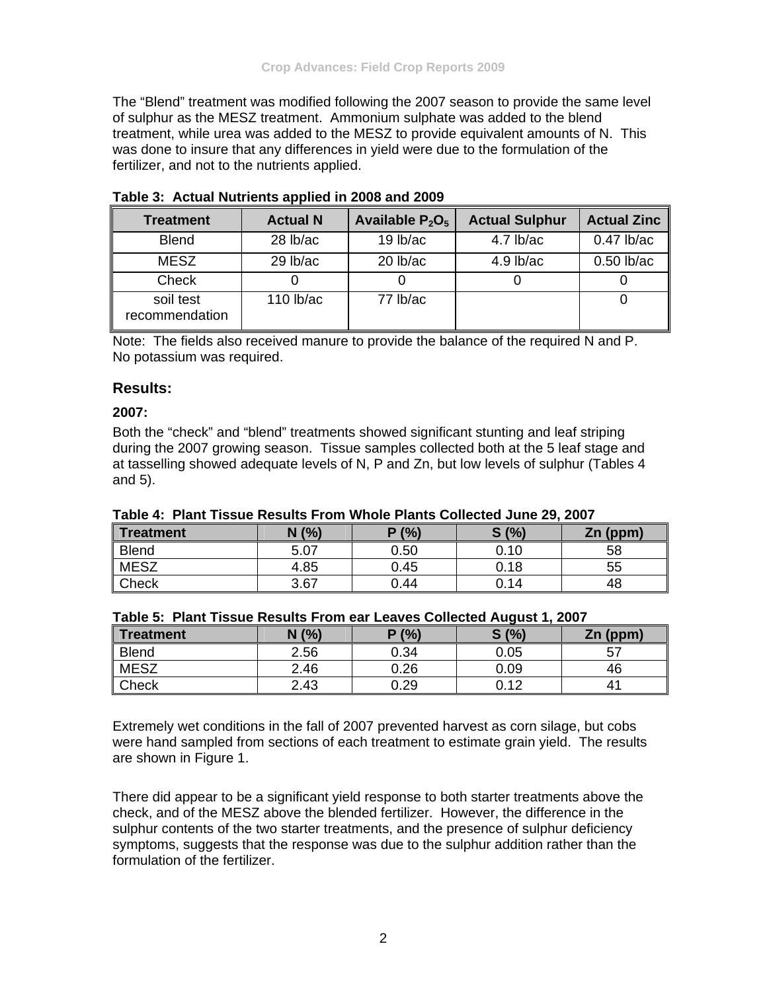The "Blend" treatment was modified following the 2007 season to provide the same level of sulphur as the MESZ treatment. Ammonium sulphate was added to the blend treatment, while urea was added to the MESZ to provide equivalent amounts of N. This was done to insure that any differences in yield were due to the formulation of the fertilizer, and not to the nutrients applied.

| <b>Treatment</b>            | <b>Actual N</b> | Available $P_2O_5$ | <b>Actual Sulphur</b> | <b>Actual Zinc</b> |
|-----------------------------|-----------------|--------------------|-----------------------|--------------------|
| <b>Blend</b>                | 28 lb/ac        | $19$ lb/ac         | $4.7$ lb/ac           | $0.47$ lb/ac       |
| <b>MESZ</b>                 | 29 lb/ac        | $20$ lb/ac         | $4.9$ lb/ac           | $0.50$ lb/ac       |
| Check                       |                 |                    |                       |                    |
| soil test<br>recommendation | 110 $lb$ ac     | 77 lb/ac           |                       |                    |

**Table 3: Actual Nutrients applied in 2008 and 2009** 

Note: The fields also received manure to provide the balance of the required N and P. No potassium was required.

#### **Results:**

#### **2007:**

Both the "check" and "blend" treatments showed significant stunting and leaf striping during the 2007 growing season. Tissue samples collected both at the 5 leaf stage and at tasselling showed adequate levels of N, P and Zn, but low levels of sulphur (Tables 4 and 5).

| <b>I AVIC 4. FIAIIL LISSUE NESULS FIUIII VIIIUIE FIAIILS CUIIECLEU JUIIE ZJ, ZUU</b> I |      |       |      |            |  |  |
|----------------------------------------------------------------------------------------|------|-------|------|------------|--|--|
| <b>Treatment</b>                                                                       | N(%  | P(% ) | S(%) | $Zn$ (ppm) |  |  |
| <b>Blend</b>                                                                           | 5.07 | 0.50  | 0.10 | 58         |  |  |
| <b>MESZ</b>                                                                            | 4.85 | 0.45  | 0.18 | 55         |  |  |
| Check                                                                                  | 3.67 | 0.44  | 0.14 | 48         |  |  |

#### **Table 4: Plant Tissue Results From Whole Plants Collected June 29, 2007**

| Table 5: Plant Tissue Results From ear Leaves Collected August 1, 2007 |  |
|------------------------------------------------------------------------|--|
|------------------------------------------------------------------------|--|

| Treatment    | N(% ) | P(% ) | S(%)<br>O. | Zn (ppm) |
|--------------|-------|-------|------------|----------|
| <b>Blend</b> | 2.56  | 0.34  | 0.05       | 57       |
| <b>MESZ</b>  | 2.46  | 0.26  | 0.09       | 46       |
| Check        | 2.43  | 0.29  | 0.12       | 41       |

Extremely wet conditions in the fall of 2007 prevented harvest as corn silage, but cobs were hand sampled from sections of each treatment to estimate grain yield. The results are shown in Figure 1.

There did appear to be a significant yield response to both starter treatments above the check, and of the MESZ above the blended fertilizer. However, the difference in the sulphur contents of the two starter treatments, and the presence of sulphur deficiency symptoms, suggests that the response was due to the sulphur addition rather than the formulation of the fertilizer.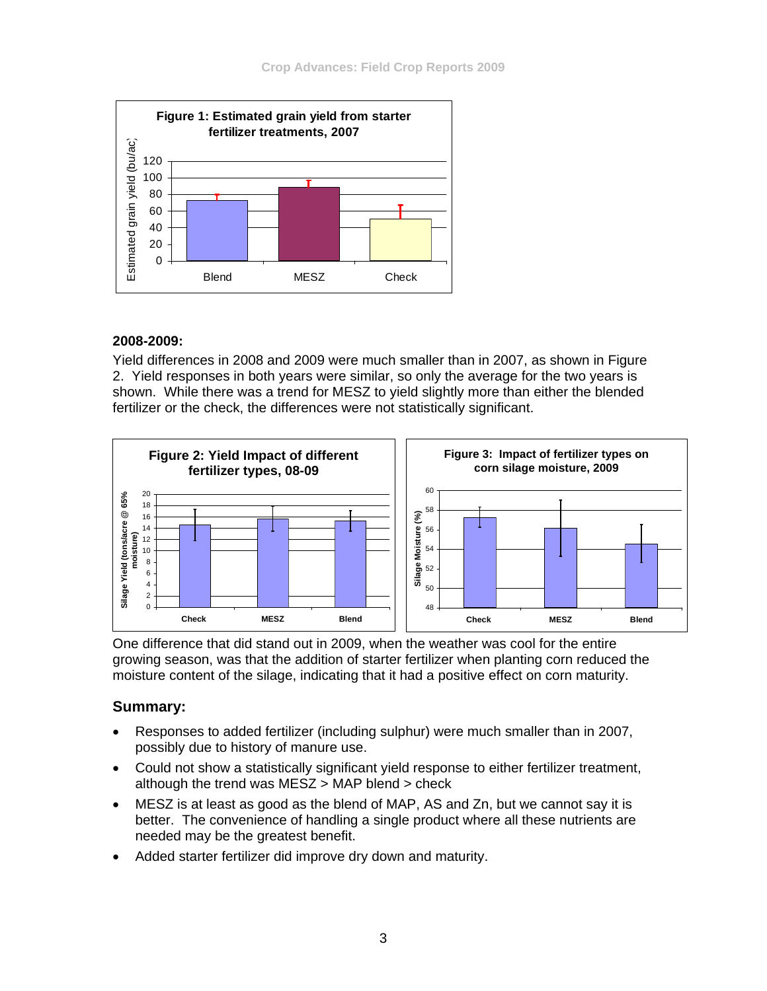

#### **2008-2009:**

Yield differences in 2008 and 2009 were much smaller than in 2007, as shown in Figure 2. Yield responses in both years were similar, so only the average for the two years is shown. While there was a trend for MESZ to yield slightly more than either the blended fertilizer or the check, the differences were not statistically significant.



One difference that did stand out in 2009, when the weather was cool for the entire growing season, was that the addition of starter fertilizer when planting corn reduced the moisture content of the silage, indicating that it had a positive effect on corn maturity.

## **Summary:**

- Responses to added fertilizer (including sulphur) were much smaller than in 2007, possibly due to history of manure use.
- Could not show a statistically significant yield response to either fertilizer treatment, although the trend was MESZ > MAP blend > check
- MESZ is at least as good as the blend of MAP, AS and Zn, but we cannot say it is better. The convenience of handling a single product where all these nutrients are needed may be the greatest benefit.
- Added starter fertilizer did improve dry down and maturity.